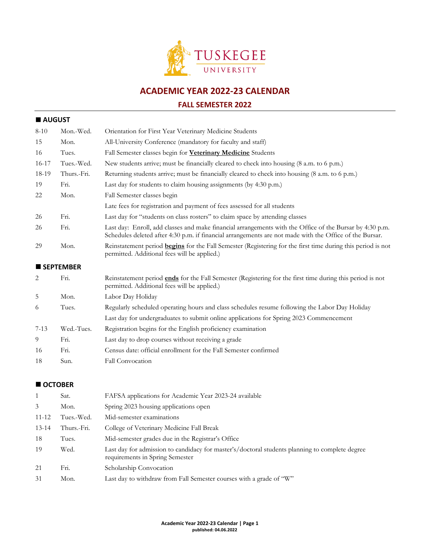

**ACADEMIC YEAR 2022-23 CALENDAR**

## **FALL SEMESTER 2022**

# **AUGUST**

| $8 - 10$       | Mon.-Wed.        | Orientation for First Year Veterinary Medicine Students                                                                                                                                                             |
|----------------|------------------|---------------------------------------------------------------------------------------------------------------------------------------------------------------------------------------------------------------------|
| 15             | Mon.             | All-University Conference (mandatory for faculty and staff)                                                                                                                                                         |
| 16             | Tues.            | Fall Semester classes begin for <b>Veterinary Medicine</b> Students                                                                                                                                                 |
| 16-17          | Tues.-Wed.       | New students arrive; must be financially cleared to check into housing (8 a.m. to 6 p.m.)                                                                                                                           |
| 18-19          | Thurs.-Fri.      | Returning students arrive; must be financially cleared to check into housing (8 a.m. to 6 p.m.)                                                                                                                     |
| 19             | Fri.             | Last day for students to claim housing assignments (by 4:30 p.m.)                                                                                                                                                   |
| 22             | Mon.             | Fall Semester classes begin                                                                                                                                                                                         |
|                |                  | Late fees for registration and payment of fees assessed for all students                                                                                                                                            |
| 26             | Fri.             | Last day for "students on class rosters" to claim space by attending classes                                                                                                                                        |
| 26             | Fri.             | Last day: Enroll, add classes and make financial arrangements with the Office of the Bursar by 4:30 p.m.<br>Schedules deleted after 4:30 p.m. if financial arrangements are not made with the Office of the Bursar. |
| 29             | Mon.             | Reinstatement period <b>begins</b> for the Fall Semester (Registering for the first time during this period is not<br>permitted. Additional fees will be applied.)                                                  |
|                | <b>SEPTEMBER</b> |                                                                                                                                                                                                                     |
| $\overline{2}$ | Fri.             | Reinstatement period ends for the Fall Semester (Registering for the first time during this period is not<br>permitted. Additional fees will be applied.)                                                           |
| 5              | Mon.             | Labor Day Holiday                                                                                                                                                                                                   |
| 6              | Tues.            | Regularly scheduled operating hours and class schedules resume following the Labor Day Holiday                                                                                                                      |
|                |                  | Last day for undergraduates to submit online applications for Spring 2023 Commencement                                                                                                                              |
| $7 - 13$       | Wed.-Tues.       | Registration begins for the English proficiency examination                                                                                                                                                         |
| 9              | Fri.             | Last day to drop courses without receiving a grade                                                                                                                                                                  |
| 16             | Fri.             | Census date: official enrollment for the Fall Semester confirmed                                                                                                                                                    |
| 18             | Sun.             | <b>Fall Convocation</b>                                                                                                                                                                                             |
|                |                  |                                                                                                                                                                                                                     |

#### ■ OCTOBER

|           | Sat.        | FAFSA applications for Academic Year 2023-24 available                                                                            |
|-----------|-------------|-----------------------------------------------------------------------------------------------------------------------------------|
| 3         | Mon.        | Spring 2023 housing applications open                                                                                             |
| 11-12     | Tues.-Wed.  | Mid-semester examinations                                                                                                         |
| $13 - 14$ | Thurs.-Fri. | College of Veterinary Medicine Fall Break                                                                                         |
| 18        | Tues.       | Mid-semester grades due in the Registrar's Office                                                                                 |
| 19        | Wed.        | Last day for admission to candidacy for master's/doctoral students planning to complete degree<br>requirements in Spring Semester |
| 21        | Fri.        | Scholarship Convocation                                                                                                           |
| 31        | Mon.        | Last day to withdraw from Fall Semester courses with a grade of "W"                                                               |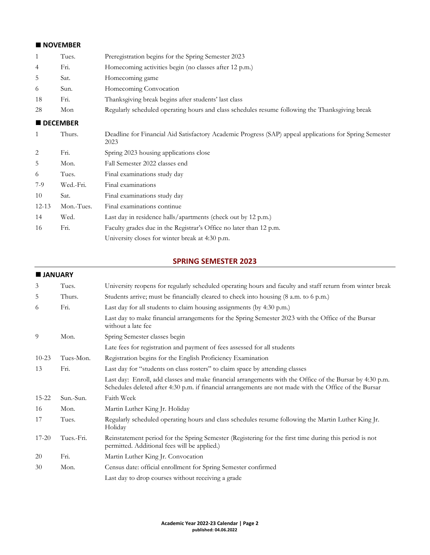## ■ NOVEMBER

| $\mathbf{1}$ | Tues.           | Preregistration begins for the Spring Semester 2023                                                             |
|--------------|-----------------|-----------------------------------------------------------------------------------------------------------------|
| 4            | Fri.            | Homecoming activities begin (no classes after 12 p.m.)                                                          |
| 5            | Sat.            | Homecoming game                                                                                                 |
| 6            | Sun.            | Homecoming Convocation                                                                                          |
| 18           | Fri.            | Thanksgiving break begins after students' last class                                                            |
| 28           | Mon             | Regularly scheduled operating hours and class schedules resume following the Thanksgiving break                 |
|              | <b>DECEMBER</b> |                                                                                                                 |
| $\mathbf{1}$ | Thurs.          | Deadline for Financial Aid Satisfactory Academic Progress (SAP) appeal applications for Spring Semester<br>2023 |
| 2            | Fri.            | Spring 2023 housing applications close                                                                          |
| 5            | Mon.            | Fall Semester 2022 classes end                                                                                  |
| 6            | Tues.           | Final examinations study day                                                                                    |
| $7-9$        | Wed.-Fri.       | Final examinations                                                                                              |
| 10           | Sat.            | Final examinations study day                                                                                    |
| $12 - 13$    | Mon.-Tues.      | Final examinations continue                                                                                     |
| 14           | Wed.            | Last day in residence halls/apartments (check out by 12 p.m.)                                                   |
| 16           | Fri.            | Faculty grades due in the Registrar's Office no later than 12 p.m.                                              |
|              |                 | University closes for winter break at 4:30 p.m.                                                                 |

## **SPRING SEMESTER 2023**

#### **JANUARY**

| 3         | Tues.      | University reopens for regularly scheduled operating hours and faculty and staff return from winter break                                                                                                          |
|-----------|------------|--------------------------------------------------------------------------------------------------------------------------------------------------------------------------------------------------------------------|
| 5         | Thurs.     | Students arrive; must be financially cleared to check into housing (8 a.m. to 6 p.m.)                                                                                                                              |
| 6         | Fri.       | Last day for all students to claim housing assignments (by 4:30 p.m.)                                                                                                                                              |
|           |            | Last day to make financial arrangements for the Spring Semester 2023 with the Office of the Bursar<br>without a late fee                                                                                           |
| 9         | Mon.       | Spring Semester classes begin                                                                                                                                                                                      |
|           |            | Late fees for registration and payment of fees assessed for all students                                                                                                                                           |
| $10 - 23$ | Tues-Mon.  | Registration begins for the English Proficiency Examination                                                                                                                                                        |
| 13        | Fri.       | Last day for "students on class rosters" to claim space by attending classes                                                                                                                                       |
|           |            | Last day: Enroll, add classes and make financial arrangements with the Office of the Bursar by 4:30 p.m.<br>Schedules deleted after 4:30 p.m. if financial arrangements are not made with the Office of the Bursar |
| $15 - 22$ | Sun.-Sun.  | Faith Week                                                                                                                                                                                                         |
| 16        | Mon.       | Martin Luther King Jr. Holiday                                                                                                                                                                                     |
| 17        | Tues.      | Regularly scheduled operating hours and class schedules resume following the Martin Luther King Jr.<br>Holiday                                                                                                     |
| $17 - 20$ | Tues.-Fri. | Reinstatement period for the Spring Semester (Registering for the first time during this period is not<br>permitted. Additional fees will be applied.)                                                             |
| 20        | Fri.       | Martin Luther King Jr. Convocation                                                                                                                                                                                 |
| 30        | Mon.       | Census date: official enrollment for Spring Semester confirmed                                                                                                                                                     |
|           |            | Last day to drop courses without receiving a grade                                                                                                                                                                 |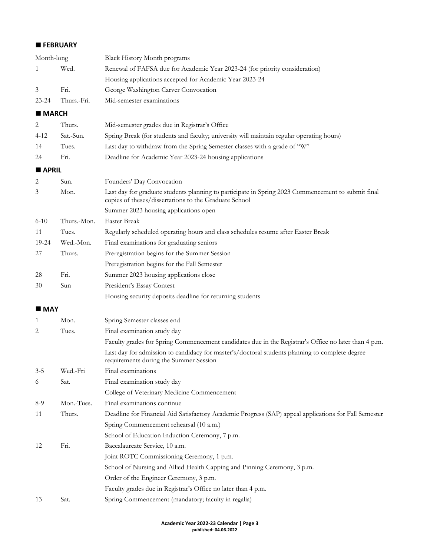#### **FEBRUARY**

| Month-long         |             | <b>Black History Month programs</b>                                                                                                                         |
|--------------------|-------------|-------------------------------------------------------------------------------------------------------------------------------------------------------------|
| 1                  | Wed.        | Renewal of FAFSA due for Academic Year 2023-24 (for priority consideration)                                                                                 |
|                    |             | Housing applications accepted for Academic Year 2023-24                                                                                                     |
| 3                  | Fri.        | George Washington Carver Convocation                                                                                                                        |
| 23-24              | Thurs.-Fri. | Mid-semester examinations                                                                                                                                   |
| <b>MARCH</b>       |             |                                                                                                                                                             |
| 2                  | Thurs.      | Mid-semester grades due in Registrar's Office                                                                                                               |
| 4-12               | Sat.-Sun.   | Spring Break (for students and faculty; university will maintain regular operating hours)                                                                   |
| 14                 | Tues.       | Last day to withdraw from the Spring Semester classes with a grade of "W"                                                                                   |
| 24                 | Fri.        | Deadline for Academic Year 2023-24 housing applications                                                                                                     |
| <b>APRIL</b>       |             |                                                                                                                                                             |
| 2                  | Sun.        | Founders' Day Convocation                                                                                                                                   |
| 3                  | Mon.        | Last day for graduate students planning to participate in Spring 2023 Commencement to submit final<br>copies of theses/dissertations to the Graduate School |
|                    |             | Summer 2023 housing applications open                                                                                                                       |
| $6 - 10$           | Thurs.-Mon. | <b>Easter Break</b>                                                                                                                                         |
| 11                 | Tues.       | Regularly scheduled operating hours and class schedules resume after Easter Break                                                                           |
| 19-24              | Wed.-Mon.   | Final examinations for graduating seniors                                                                                                                   |
| 27                 | Thurs.      | Preregistration begins for the Summer Session                                                                                                               |
|                    |             | Preregistration begins for the Fall Semester                                                                                                                |
| 28                 | Fri.        | Summer 2023 housing applications close                                                                                                                      |
| 30                 | Sun         | President's Essay Contest                                                                                                                                   |
|                    |             | Housing security deposits deadline for returning students                                                                                                   |
| $\blacksquare$ MAY |             |                                                                                                                                                             |
| 1                  | Mon.        | Spring Semester classes end                                                                                                                                 |
| 2                  | Tues.       | Final examination study day                                                                                                                                 |
|                    |             | Faculty grades for Spring Commencement candidates due in the Registrar's Office no later than 4 p.m.                                                        |
|                    |             | Last day for admission to candidacy for master's/doctoral students planning to complete degree<br>requirements during the Summer Session                    |
| $3 - 5$            | Wed.-Fri    | Final examinations                                                                                                                                          |
| 6                  | Sat.        | Final examination study day                                                                                                                                 |
|                    |             | College of Veterinary Medicine Commencement                                                                                                                 |
| $8-9$              | Mon.-Tues.  | Final examinations continue                                                                                                                                 |
| 11                 | Thurs.      | Deadline for Financial Aid Satisfactory Academic Progress (SAP) appeal applications for Fall Semester                                                       |
|                    |             | Spring Commencement rehearsal (10 a.m.)                                                                                                                     |
|                    |             | School of Education Induction Ceremony, 7 p.m.                                                                                                              |
| 12                 | Fri.        | Baccalaureate Service, 10 a.m.                                                                                                                              |
|                    |             | Joint ROTC Commissioning Ceremony, 1 p.m.                                                                                                                   |
|                    |             | School of Nursing and Allied Health Capping and Pinning Ceremony, 3 p.m.                                                                                    |
|                    |             | Order of the Engineer Ceremony, 3 p.m.                                                                                                                      |
|                    |             | Faculty grades due in Registrar's Office no later than 4 p.m.                                                                                               |
| 13                 | Sat.        | Spring Commencement (mandatory; faculty in regalia)                                                                                                         |
|                    |             |                                                                                                                                                             |